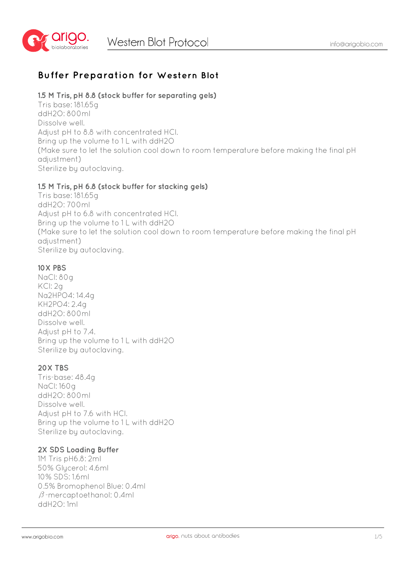

# **Buffer Preparation for Western Blot**

## **1.5 M Tris, pH 8.8 (stock buffer for separating gels)**

Tris base: 181.65g ddH2O: 800ml Dissolve well. Adjust pH to 8.8 with concentrated HCl. Bring up the volume to 1 L with ddH2O (Make sure to let the solution cool down to room temperature before making the final pH adjustment) Sterilize by autoclaving.

## **1.5 M Tris, pH 6.8 (stock buffer for stacking gels)**

Tris base: 181.65g ddH2O: 700ml Adjust pH to 6.8 with concentrated HCl. Bring up the volume to 1 L with ddH2O (Make sure to let the solution cool down to room temperature before making the final pH adjustment) Sterilize by autoclaving.

## **10X PBS**

NaCl: 80g KCl: 2g Na2HPO4: 14.4g KH2PO4: 2.4g ddH2O: 800ml Dissolve well. Adjust pH to 7.4. Bring up the volume to 1 L with ddH2O Sterilize by autoclaving.

## **20X TBS**

Tris-base: 48.4g NaCl: 160g ddH2O: 800ml Dissolve well. Adjust pH to 7.6 with HCl. Bring up the volume to 1 L with ddH2O Sterilize by autoclaving.

### **2X SDS Loading Buffer**

1M Tris pH6.8: 2ml 50% Glycerol: 4.6ml 10% SDS: 1.6ml 0.5% Bromophenol Blue: 0.4ml β-mercaptoethanol: 0.4ml ddH2O: 1ml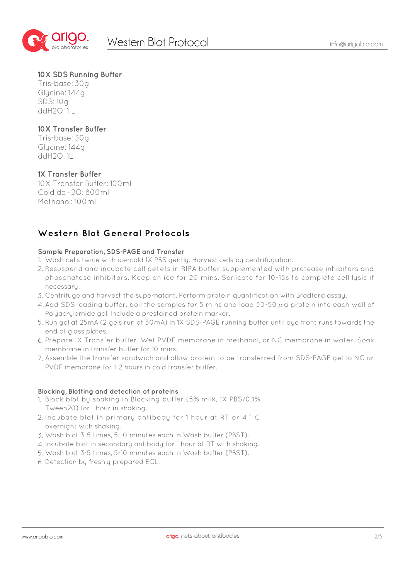

## **10X SDS Running Buffer**

Tris-base: 30g Glycine: 144g SDS: 10g  $ddH2O:11$ 

## **10X Transfer Buffer**

Tris-base: 30g Glycine: 144g ddH2O: 1L

## **1X Transfer Buffer**

10X Transfer Buffer: 100ml Cold ddH2O: 800ml Methanol: 100ml

## **Western Blot General Protocols**

#### **Sample Preparation, SDS-PAGE and Transfer**

- 1. Wash cells twice with ice-cold 1X PBS gently. Harvest cells by centrifugation.
- 2. Resuspend and incubate cell pellets in RIPA buffer supplemented with protease inhibitors and phosphatase inhibitors. Keep on ice for 20 mins. Sonicate for 10-15s to complete cell lysis if necessary.
- Centrifuge and harvest the supernatant. Perform protein quantification with Bradford assay. 3.
- 4. Add SDS loading buffer, boil the samples for 5 mins and load 30-50  $\mu$  g protein into each well of Polyacrylamide gel. Include a prestained protein marker.
- 5. Run gel at 25mA (2 gels run at 50mA) in 1X SDS-PAGE running buffer until dye front runs towards the end of glass plates.
- Prepare 1X Transfer buffer. Wet PVDF membrane in methanol, or NC membrane in water. Soak 6. membrane in transfer buffer for 10 mins.
- Assemble the transfer sandwich and allow protein to be transferred from SDS-PAGE gel to NC or 7. PVDF membrane for 1-2 hours in cold transfer buffer.

### **Blocking, Blotting and detection of proteins**

- Block blot by soaking in Blocking buffer (5% milk, 1X PBS/0.1% 1. Tween20) for 1 hour in shaking.
- 2. Incubate blot in primary antibody for 1 hour at RT or 4  $\degree$  C overnight with shaking.
- Wash blot 3-5 times, 5-10 minutes each in Wash buffer (PBST). 3.
- 4. Incubate blot in secondary antibody for 1 hour at RT with shaking.
- Wash blot 3-5 times, 5-10 minutes each in Wash buffer (PBST). 5.
- 6. Detection by freshly prepared ECL.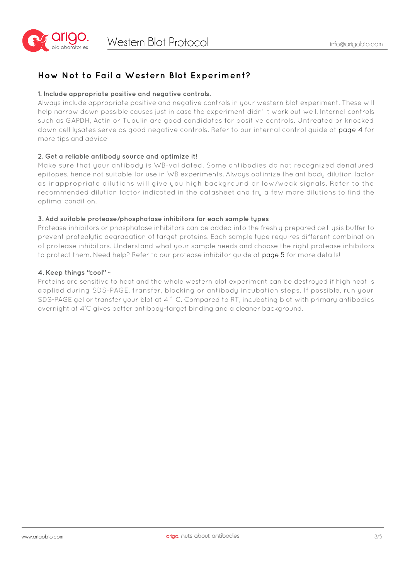

## **How Not to Fail a Western Blot Experiment?**

### **1. Include appropriate positive and negative controls.**

Always include appropriate positive and negative controls in your western blot experiment. These will help narrow down possible causes just in case the experiment didn' t work out well. Internal controls such as GAPDH, Actin or Tubulin are good candidates for positive controls. Untreated or knocked down cell lysates serve as good negative controls. Refer to our internal control guide at page 4 for more tips and advice!

#### **2. Get a reliable antibody source and optimize it!**

Make sure that your antibody is WB-validated. Some antibodies do not recognized denatured epitopes, hence not suitable for use in WB experiments. Always optimize the antibody dilution factor as inappropriate dilutions will give you high background or low/weak signals. Refer to the recommended dilution factor indicated in the datasheet and try a few more dilutions to find the optimal condition.

#### **3. Add suitable protease/phosphatase inhibitors for each sample types**

Protease inhibitors or phosphatase inhibitors can be added into the freshly prepared cell lysis buffer to prevent proteolytic degradation of target proteins. Each sample type requires different combination of protease inhibitors. Understand what your sample needs and choose the right protease inhibitors to protect them. Need help? Refer to our protease inhibitor guide at page 5 for more details!

#### **4. Keep things "cool" ~**

Proteins are sensitive to heat and the whole western blot experiment can be destroyed if high heat is applied during SDS-PAGE, transfer, blocking or antibody incubation steps. If possible, run your SDS-PAGE gel or transfer your blot at 4 ° C. Compared to RT, incubating blot with primary antibodies overnight at 4° C gives better antibody-target binding and a cleaner background.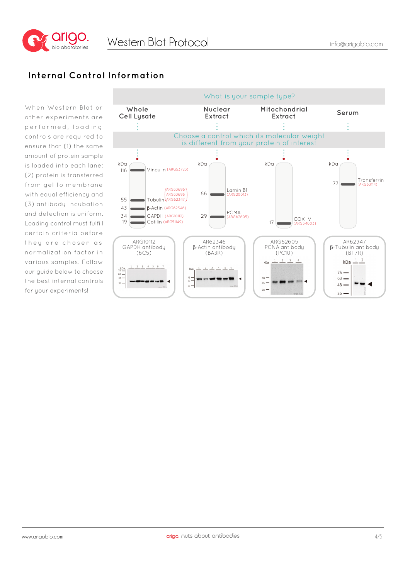

## **Internal Control Information**

When Western Blot or other experiments are performed, loading controls are required to ensure that (1) the same amount of protein sample is loaded into each lane; (2) protein is transferred from gel to membrane with equal efficiency and (3) antibody incubation and detection is uniform. Loading control must fulfill certain criteria before they are chosen as normalization factor in various samples. Follow our guide below to choose the best internal controls for your experiments!